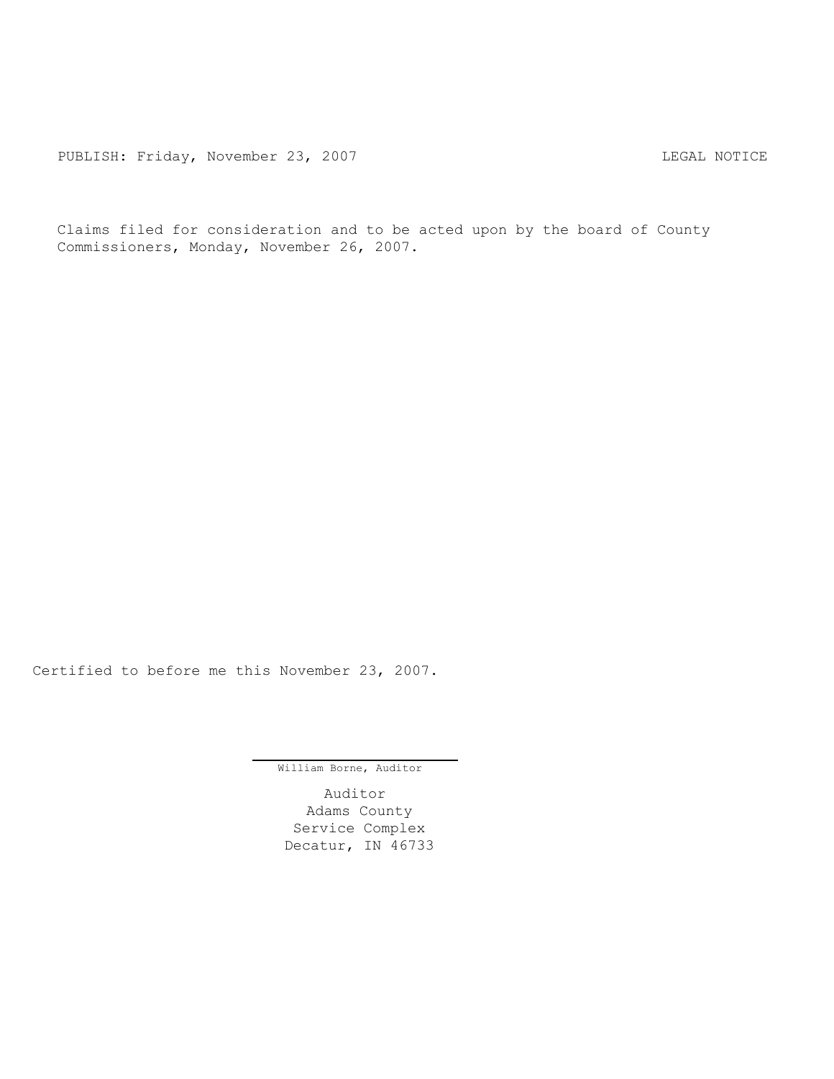PUBLISH: Friday, November 23, 2007 COMERCIAL SECTION CONTRACT CONTRACT PUBLISH: Friday, November 23, 2007

Claims filed for consideration and to be acted upon by the board of County Commissioners, Monday, November 26, 2007.

Certified to before me this November 23, 2007.

William Borne, Auditor

Auditor Adams County Service Complex Decatur, IN 46733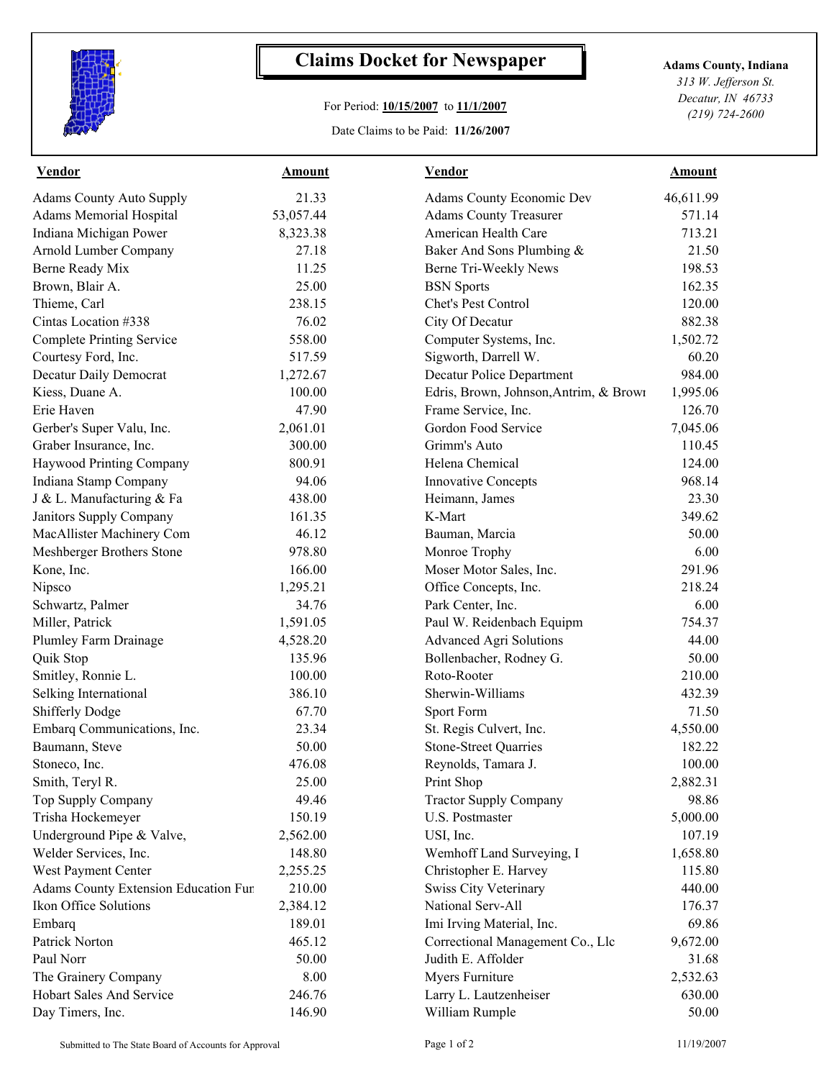

## **Claims Docket for Newspaper Adams County, Indiana**

## For Period: **10/15/2007** to **11/1/2007**

Date Claims to be Paid: **11/26/2007**

*313 W. Jefferson St. Decatur, IN 46733 (219) 724-2600*

| <b>Vendor</b>                        | <b>Amount</b> | <b>Vendor</b>                          | Amount    |
|--------------------------------------|---------------|----------------------------------------|-----------|
| <b>Adams County Auto Supply</b>      | 21.33         | Adams County Economic Dev              | 46,611.99 |
| <b>Adams Memorial Hospital</b>       | 53,057.44     | <b>Adams County Treasurer</b>          | 571.14    |
| Indiana Michigan Power               | 8,323.38      | American Health Care                   | 713.21    |
| Arnold Lumber Company                | 27.18         | Baker And Sons Plumbing &              | 21.50     |
| Berne Ready Mix                      | 11.25         | Berne Tri-Weekly News                  | 198.53    |
| Brown, Blair A.                      | 25.00         | <b>BSN</b> Sports                      | 162.35    |
| Thieme, Carl                         | 238.15        | Chet's Pest Control                    | 120.00    |
| Cintas Location #338                 | 76.02         | City Of Decatur                        | 882.38    |
| <b>Complete Printing Service</b>     | 558.00        | Computer Systems, Inc.                 | 1,502.72  |
| Courtesy Ford, Inc.                  | 517.59        | Sigworth, Darrell W.                   | 60.20     |
| Decatur Daily Democrat               | 1,272.67      | Decatur Police Department              | 984.00    |
| Kiess, Duane A.                      | 100.00        | Edris, Brown, Johnson, Antrim, & Brown | 1,995.06  |
| Erie Haven                           | 47.90         | Frame Service, Inc.                    | 126.70    |
| Gerber's Super Valu, Inc.            | 2,061.01      | Gordon Food Service                    | 7,045.06  |
| Graber Insurance, Inc.               | 300.00        | Grimm's Auto                           | 110.45    |
| Haywood Printing Company             | 800.91        | Helena Chemical                        | 124.00    |
| Indiana Stamp Company                | 94.06         | <b>Innovative Concepts</b>             | 968.14    |
| J & L. Manufacturing & Fa            | 438.00        | Heimann, James                         | 23.30     |
| Janitors Supply Company              | 161.35        | K-Mart                                 | 349.62    |
| MacAllister Machinery Com            | 46.12         | Bauman, Marcia                         | 50.00     |
| Meshberger Brothers Stone            | 978.80        | Monroe Trophy                          | 6.00      |
| Kone, Inc.                           | 166.00        | Moser Motor Sales, Inc.                | 291.96    |
| Nipsco                               | 1,295.21      | Office Concepts, Inc.                  | 218.24    |
| Schwartz, Palmer                     | 34.76         | Park Center, Inc.                      | 6.00      |
| Miller, Patrick                      | 1,591.05      | Paul W. Reidenbach Equipm              | 754.37    |
| Plumley Farm Drainage                | 4,528.20      | <b>Advanced Agri Solutions</b>         | 44.00     |
| Quik Stop                            | 135.96        | Bollenbacher, Rodney G.                | 50.00     |
| Smitley, Ronnie L.                   | 100.00        | Roto-Rooter                            | 210.00    |
| Selking International                | 386.10        | Sherwin-Williams                       | 432.39    |
| <b>Shifferly Dodge</b>               | 67.70         | Sport Form                             | 71.50     |
| Embarq Communications, Inc.          | 23.34         | St. Regis Culvert, Inc.                | 4,550.00  |
| Baumann, Steve                       | 50.00         | <b>Stone-Street Quarries</b>           | 182.22    |
| Stoneco, Inc.                        | 476.08        | Reynolds, Tamara J.                    | 100.00    |
| Smith, Teryl R.                      | 25.00         | Print Shop                             | 2,882.31  |
| Top Supply Company                   | 49.46         | <b>Tractor Supply Company</b>          | 98.86     |
| Trisha Hockemeyer                    | 150.19        | U.S. Postmaster                        | 5,000.00  |
| Underground Pipe & Valve,            | 2,562.00      | USI, Inc.                              | 107.19    |
| Welder Services, Inc.                | 148.80        | Wemhoff Land Surveying, I              | 1,658.80  |
| West Payment Center                  | 2,255.25      | Christopher E. Harvey                  | 115.80    |
| Adams County Extension Education Fur | 210.00        | <b>Swiss City Veterinary</b>           | 440.00    |
| Ikon Office Solutions                | 2,384.12      | National Serv-All                      | 176.37    |
| Embarq                               | 189.01        | Imi Irving Material, Inc.              | 69.86     |
| Patrick Norton                       | 465.12        | Correctional Management Co., Llc       | 9,672.00  |
| Paul Norr                            | 50.00         | Judith E. Affolder                     | 31.68     |
| The Grainery Company                 | 8.00          | Myers Furniture                        | 2,532.63  |
| Hobart Sales And Service             | 246.76        | Larry L. Lautzenheiser                 | 630.00    |
| Day Timers, Inc.                     | 146.90        | William Rumple                         | 50.00     |